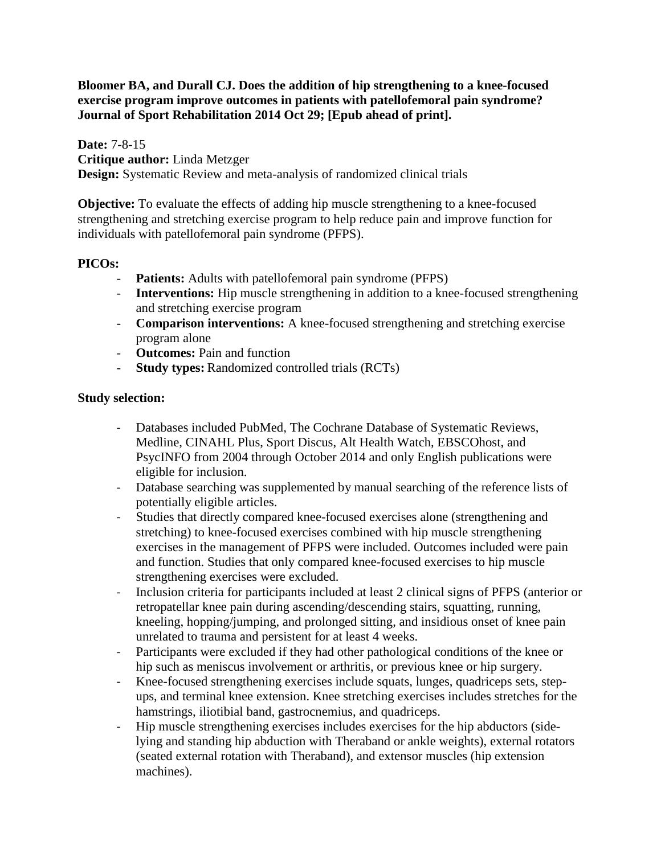**Bloomer BA, and Durall CJ. Does the addition of hip strengthening to a knee-focused exercise program improve outcomes in patients with patellofemoral pain syndrome? Journal of Sport Rehabilitation 2014 Oct 29; [Epub ahead of print].**

**Date:** 7-8-15 **Critique author:** Linda Metzger **Design:** Systematic Review and meta-analysis of randomized clinical trials

**Objective:** To evaluate the effects of adding hip muscle strengthening to a knee-focused strengthening and stretching exercise program to help reduce pain and improve function for individuals with patellofemoral pain syndrome (PFPS).

# **PICOs:**

- **Patients:** Adults with patellofemoral pain syndrome (PFPS)
- **Interventions:** Hip muscle strengthening in addition to a knee-focused strengthening and stretching exercise program
- **Comparison interventions:** A knee-focused strengthening and stretching exercise program alone
- **Outcomes:** Pain and function
- **Study types:** Randomized controlled trials (RCTs)

# **Study selection:**

- Databases included PubMed, The Cochrane Database of Systematic Reviews, Medline, CINAHL Plus, Sport Discus, Alt Health Watch, EBSCOhost, and PsycINFO from 2004 through October 2014 and only English publications were eligible for inclusion.
- Database searching was supplemented by manual searching of the reference lists of potentially eligible articles.
- Studies that directly compared knee-focused exercises alone (strengthening and stretching) to knee-focused exercises combined with hip muscle strengthening exercises in the management of PFPS were included. Outcomes included were pain and function. Studies that only compared knee-focused exercises to hip muscle strengthening exercises were excluded.
- Inclusion criteria for participants included at least 2 clinical signs of PFPS (anterior or retropatellar knee pain during ascending/descending stairs, squatting, running, kneeling, hopping/jumping, and prolonged sitting, and insidious onset of knee pain unrelated to trauma and persistent for at least 4 weeks.
- Participants were excluded if they had other pathological conditions of the knee or hip such as meniscus involvement or arthritis, or previous knee or hip surgery.
- Knee-focused strengthening exercises include squats, lunges, quadriceps sets, stepups, and terminal knee extension. Knee stretching exercises includes stretches for the hamstrings, iliotibial band, gastrocnemius, and quadriceps.
- Hip muscle strengthening exercises includes exercises for the hip abductors (sidelying and standing hip abduction with Theraband or ankle weights), external rotators (seated external rotation with Theraband), and extensor muscles (hip extension machines).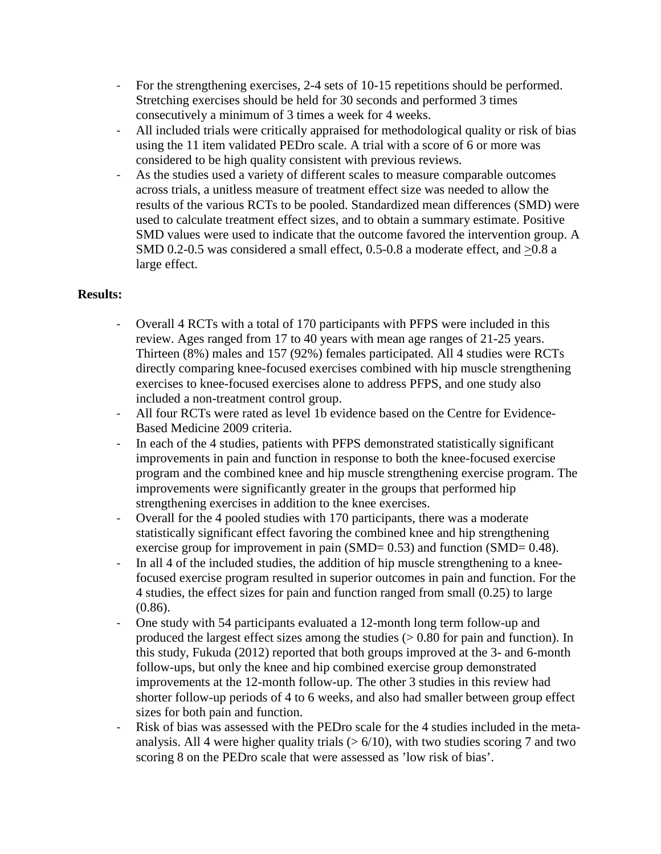- For the strengthening exercises, 2-4 sets of 10-15 repetitions should be performed. Stretching exercises should be held for 30 seconds and performed 3 times consecutively a minimum of 3 times a week for 4 weeks.
- All included trials were critically appraised for methodological quality or risk of bias using the 11 item validated PEDro scale. A trial with a score of 6 or more was considered to be high quality consistent with previous reviews.
- As the studies used a variety of different scales to measure comparable outcomes across trials, a unitless measure of treatment effect size was needed to allow the results of the various RCTs to be pooled. Standardized mean differences (SMD) were used to calculate treatment effect sizes, and to obtain a summary estimate. Positive SMD values were used to indicate that the outcome favored the intervention group. A SMD 0.2-0.5 was considered a small effect, 0.5-0.8 a moderate effect, and  $>0.8$  a large effect.

# **Results:**

- Overall 4 RCTs with a total of 170 participants with PFPS were included in this review. Ages ranged from 17 to 40 years with mean age ranges of 21-25 years. Thirteen (8%) males and 157 (92%) females participated. All 4 studies were RCTs directly comparing knee-focused exercises combined with hip muscle strengthening exercises to knee-focused exercises alone to address PFPS, and one study also included a non-treatment control group.
- All four RCTs were rated as level 1b evidence based on the Centre for Evidence-Based Medicine 2009 criteria.
- In each of the 4 studies, patients with PFPS demonstrated statistically significant improvements in pain and function in response to both the knee-focused exercise program and the combined knee and hip muscle strengthening exercise program. The improvements were significantly greater in the groups that performed hip strengthening exercises in addition to the knee exercises.
- Overall for the 4 pooled studies with 170 participants, there was a moderate statistically significant effect favoring the combined knee and hip strengthening exercise group for improvement in pain (SMD= 0.53) and function (SMD= 0.48).
- In all 4 of the included studies, the addition of hip muscle strengthening to a kneefocused exercise program resulted in superior outcomes in pain and function. For the 4 studies, the effect sizes for pain and function ranged from small (0.25) to large (0.86).
- One study with 54 participants evaluated a 12-month long term follow-up and produced the largest effect sizes among the studies  $(> 0.80$  for pain and function). In this study, Fukuda (2012) reported that both groups improved at the 3- and 6-month follow-ups, but only the knee and hip combined exercise group demonstrated improvements at the 12-month follow-up. The other 3 studies in this review had shorter follow-up periods of 4 to 6 weeks, and also had smaller between group effect sizes for both pain and function.
- Risk of bias was assessed with the PEDro scale for the 4 studies included in the metaanalysis. All 4 were higher quality trials  $(> 6/10)$ , with two studies scoring 7 and two scoring 8 on the PEDro scale that were assessed as 'low risk of bias'.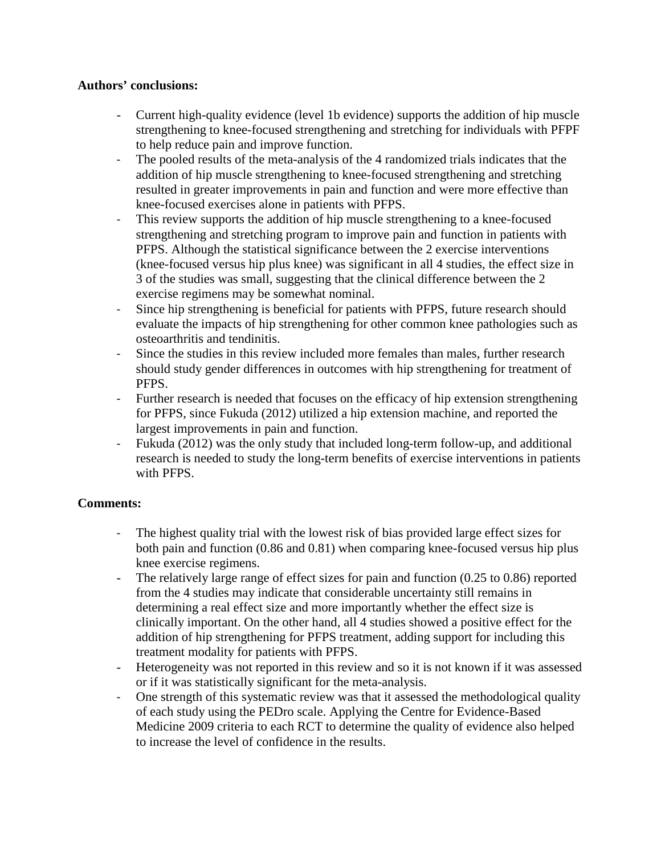## **Authors' conclusions:**

- Current high-quality evidence (level 1b evidence) supports the addition of hip muscle strengthening to knee-focused strengthening and stretching for individuals with PFPF to help reduce pain and improve function.
- The pooled results of the meta-analysis of the 4 randomized trials indicates that the addition of hip muscle strengthening to knee-focused strengthening and stretching resulted in greater improvements in pain and function and were more effective than knee-focused exercises alone in patients with PFPS.
- This review supports the addition of hip muscle strengthening to a knee-focused strengthening and stretching program to improve pain and function in patients with PFPS. Although the statistical significance between the 2 exercise interventions (knee-focused versus hip plus knee) was significant in all 4 studies, the effect size in 3 of the studies was small, suggesting that the clinical difference between the 2 exercise regimens may be somewhat nominal.
- Since hip strengthening is beneficial for patients with PFPS, future research should evaluate the impacts of hip strengthening for other common knee pathologies such as osteoarthritis and tendinitis.
- Since the studies in this review included more females than males, further research should study gender differences in outcomes with hip strengthening for treatment of PFPS.
- Further research is needed that focuses on the efficacy of hip extension strengthening for PFPS, since Fukuda (2012) utilized a hip extension machine, and reported the largest improvements in pain and function.
- Fukuda (2012) was the only study that included long-term follow-up, and additional research is needed to study the long-term benefits of exercise interventions in patients with PFPS.

# **Comments:**

- The highest quality trial with the lowest risk of bias provided large effect sizes for both pain and function (0.86 and 0.81) when comparing knee-focused versus hip plus knee exercise regimens.
- The relatively large range of effect sizes for pain and function (0.25 to 0.86) reported from the 4 studies may indicate that considerable uncertainty still remains in determining a real effect size and more importantly whether the effect size is clinically important. On the other hand, all 4 studies showed a positive effect for the addition of hip strengthening for PFPS treatment, adding support for including this treatment modality for patients with PFPS.
- Heterogeneity was not reported in this review and so it is not known if it was assessed or if it was statistically significant for the meta-analysis.
- One strength of this systematic review was that it assessed the methodological quality of each study using the PEDro scale. Applying the Centre for Evidence-Based Medicine 2009 criteria to each RCT to determine the quality of evidence also helped to increase the level of confidence in the results.